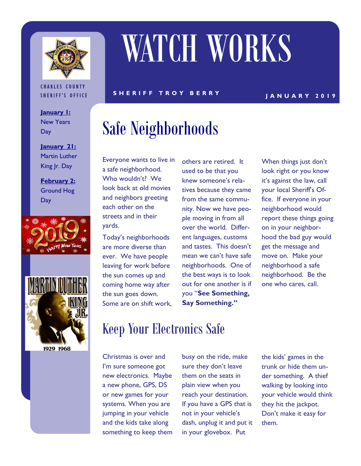

#### **CHARLES COUNTY** SHERIFF'S OFFICE

**January 1:**  New Years **Day** 

**January 21:**  Martin Luther King Jr. Day

**February 2:**  Ground Hog **Day** 





1929 1968

# WATCH WORKS

S H E R I F F T R O Y B E R R Y Y LAN U A R Y 2019

### Safe Neighborhoods

Everyone wants to live in a safe neighborhood. Who wouldn't? We look back at old movies and neighbors greeting each other on the streets and in their yards.

Today's neighborhoods are more diverse than ever. We have people leaving for work before the sun comes up and coming home way after the sun goes down. Some are on shift work, others are retired. It used to be that you knew someone's relatives because they came from the same community. Now we have people moving in from all over the world. Different languages, customs and tastes. This doesn't mean we can't have safe neighborhoods. One of the best ways is to look out for one another is if you "**See Something, Say Something."** 

When things just don't look right or you know it's against the law, call your local Sheriff's Office. If everyone in your neighborhood would report these things going on in your neighborhood the bad guy would get the message and move on. Make your neighborhood a safe neighborhood. Be the one who cares, call.

### Keep Your Electronics Safe

Christmas is over and I'm sure someone got new electronics. Maybe a new phone, GPS, DS or new games for your systems. When you are jumping in your vehicle and the kids take along something to keep them busy on the ride, make sure they don't leave them on the seats in plain view when you reach your destination. If you have a GPS that is not in your vehicle's dash, unplug it and put it in your glovebox. Put

the kids' games in the trunk or hide them under something. A thief walking by looking into your vehicle would think they hit the jackpot. Don't make it easy for them.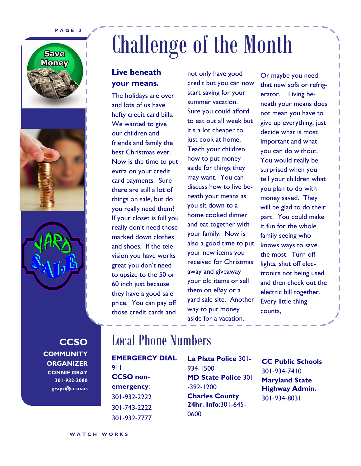#### **P A G E 2**







**CCSO COMMUNITY ORGANIZER CONNIE GRAY 301-932-3080 grayc@ccso.us**

## Challenge of the Month

#### **Live beneath your means.**

The holidays are over and lots of us have hefty credit card bills. We wanted to give our children and friends and family the best Christmas ever. Now is the time to put extra on your credit card payments. Sure there are still a lot of things on sale, but do you really need them? If your closet is full you really don't need those marked down clothes and shoes. If the television you have works great you don't need to upsize to the 50 or 60 inch just because they have a good sale price. You can pay off those credit cards and

not only have good credit but you can now start saving for your summer vacation. Sure you could afford to eat out all week but it's a lot cheaper to just cook at home. Teach your children how to put money aside for things they may want. You can discuss how to live beneath your means as you sit down to a home cooked dinner and eat together with your family. Now is also a good time to put your new items you received for Christmas away and giveaway your old items or sell them on eBay or a yard sale site. Another way to put money aside for a vacation.

Or maybe you need that new sofa or refrigerator. Living beneath your means does not mean you have to give up everything, just decide what is most important and what you can do without. You would really be surprised when you tell your children what you plan to do with money saved. They will be glad to do their part. You could make it fun for the whole family seeing who knows ways to save the most. Turn off lights, shut off electronics not being used and then check out the electric bill together. Every little thing counts,

### Local Phone Numbers

**EMERGERCY DIAL**  911 **CCSO nonemergency**: 301-932-2222 301-743-2222 301-932-7777

**La Plata Police** 301- 934-1500 **MD State Police** 301 -392-1200 **Charles County 24hr**. **Info**:301-645- 0600

**CC Public Schools**  301-934-7410 **Maryland State Highway Admin.**  301-934-8031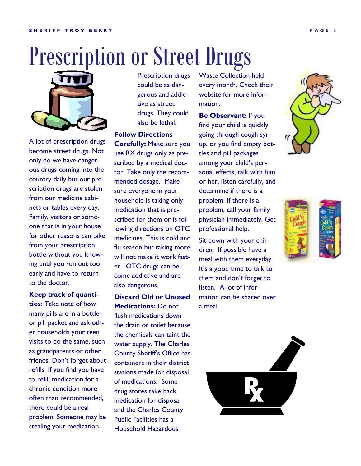## Prescription or Street Drugs



A lot of prescription drugs become street drugs. Not only do we have dangerous drugs coming into the country daily but our prescription drugs are stolen from our medicine cabinets or tables every day. Family, visitors or someone that is in your house for other reasons can take from your prescription bottle without you knowing until you run out too early and have to return to the doctor.

**Keep track of quantities:** Take note of how many pills are in a bottle or pill packet and ask other households your teen visits to do the same, such as grandparents or other friends. Don't forget about refills. If you find you have to refill medication for a chronic condition more often than recommended, there could be a real problem. Someone may be stealing your medication.

Prescription drugs could be as dangerous and addictive as street drugs. They could also be lethal.

**Follow Directions** 

**Carefully:** Make sure you use RX drugs only as prescribed by a medical doctor. Take only the recommended dosage. Make sure everyone in your household is taking only medication that is prescribed for them or is following directions on OTC medicines. This is cold and flu season but taking more will not make it work faster. OTC drugs can become addictive and are also dangerous.

**Discard Old or Unused Medications:** Do not flush medications down the drain or toilet because the chemicals can taint the water supply. The Charles County Sheriff's Office has containers in their district stations made for disposal of medications. Some drug stores take back medication for disposal and the Charles County Public Facilities has a Household Hazardous

Waste Collection held every month. Check their website for more information.

**Be Observant:** If you find your child is quickly going through cough syrup, or you find empty bottles and pill packages among your child's personal effects, talk with him or her, listen carefully, and determine if there is a problem. If there is a problem, call your family physician immediately. Get professional help.

Sit down with your children. If possible have a meal with them everyday. It's a good time to talk to them and don't forget to listen. A lot of information can be shared over a meal.